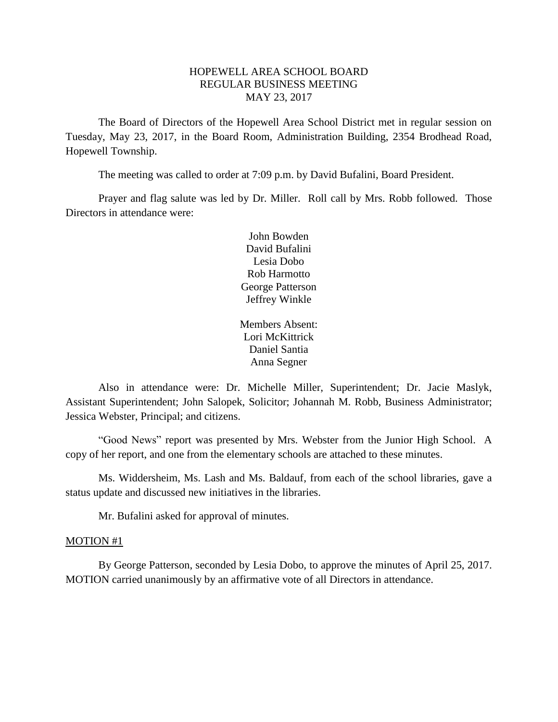# HOPEWELL AREA SCHOOL BOARD REGULAR BUSINESS MEETING MAY 23, 2017

The Board of Directors of the Hopewell Area School District met in regular session on Tuesday, May 23, 2017, in the Board Room, Administration Building, 2354 Brodhead Road, Hopewell Township.

The meeting was called to order at 7:09 p.m. by David Bufalini, Board President.

Prayer and flag salute was led by Dr. Miller. Roll call by Mrs. Robb followed. Those Directors in attendance were:

> John Bowden David Bufalini Lesia Dobo Rob Harmotto George Patterson Jeffrey Winkle

Members Absent: Lori McKittrick Daniel Santia Anna Segner

Also in attendance were: Dr. Michelle Miller, Superintendent; Dr. Jacie Maslyk, Assistant Superintendent; John Salopek, Solicitor; Johannah M. Robb, Business Administrator; Jessica Webster, Principal; and citizens.

"Good News" report was presented by Mrs. Webster from the Junior High School. A copy of her report, and one from the elementary schools are attached to these minutes.

Ms. Widdersheim, Ms. Lash and Ms. Baldauf, from each of the school libraries, gave a status update and discussed new initiatives in the libraries.

Mr. Bufalini asked for approval of minutes.

### MOTION #1

By George Patterson, seconded by Lesia Dobo, to approve the minutes of April 25, 2017. MOTION carried unanimously by an affirmative vote of all Directors in attendance.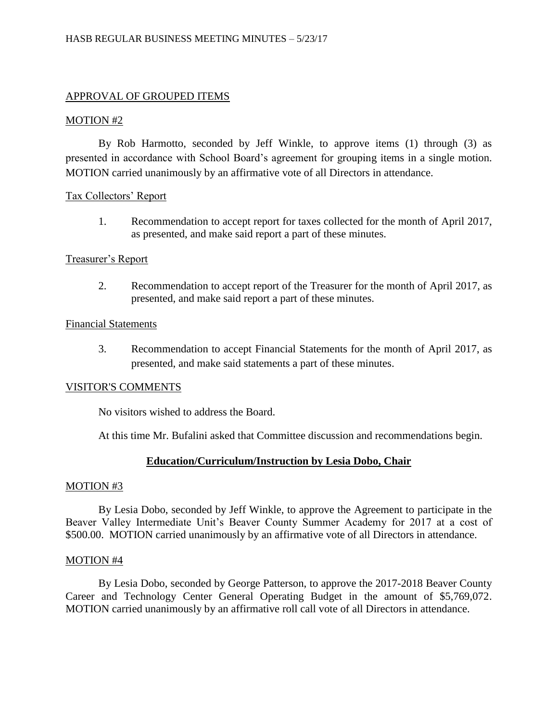# APPROVAL OF GROUPED ITEMS

# MOTION #2

By Rob Harmotto, seconded by Jeff Winkle, to approve items (1) through (3) as presented in accordance with School Board's agreement for grouping items in a single motion. MOTION carried unanimously by an affirmative vote of all Directors in attendance.

# Tax Collectors' Report

1. Recommendation to accept report for taxes collected for the month of April 2017, as presented, and make said report a part of these minutes.

# Treasurer's Report

2. Recommendation to accept report of the Treasurer for the month of April 2017, as presented, and make said report a part of these minutes.

## Financial Statements

3. Recommendation to accept Financial Statements for the month of April 2017, as presented, and make said statements a part of these minutes.

## VISITOR'S COMMENTS

No visitors wished to address the Board.

At this time Mr. Bufalini asked that Committee discussion and recommendations begin.

# **Education/Curriculum/Instruction by Lesia Dobo, Chair**

## MOTION #3

By Lesia Dobo, seconded by Jeff Winkle, to approve the Agreement to participate in the Beaver Valley Intermediate Unit's Beaver County Summer Academy for 2017 at a cost of \$500.00. MOTION carried unanimously by an affirmative vote of all Directors in attendance.

## MOTION #4

By Lesia Dobo, seconded by George Patterson, to approve the 2017-2018 Beaver County Career and Technology Center General Operating Budget in the amount of \$5,769,072. MOTION carried unanimously by an affirmative roll call vote of all Directors in attendance.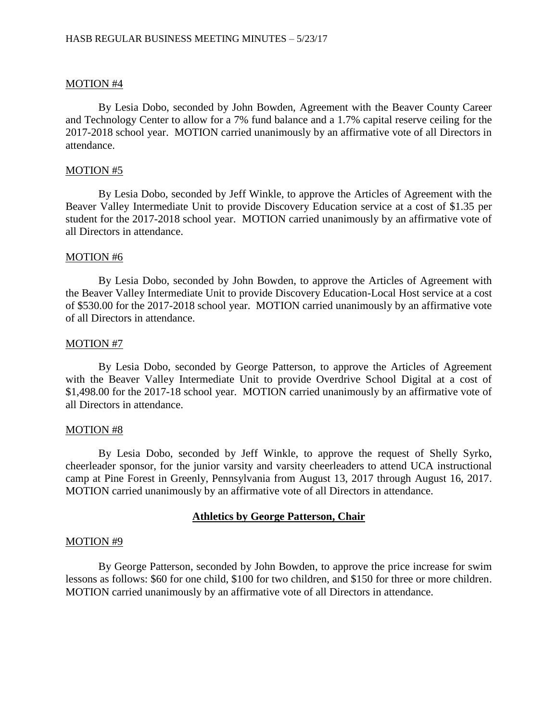## MOTION #4

By Lesia Dobo, seconded by John Bowden, Agreement with the Beaver County Career and Technology Center to allow for a 7% fund balance and a 1.7% capital reserve ceiling for the 2017-2018 school year. MOTION carried unanimously by an affirmative vote of all Directors in attendance.

### MOTION #5

By Lesia Dobo, seconded by Jeff Winkle, to approve the Articles of Agreement with the Beaver Valley Intermediate Unit to provide Discovery Education service at a cost of \$1.35 per student for the 2017-2018 school year. MOTION carried unanimously by an affirmative vote of all Directors in attendance.

### MOTION #6

By Lesia Dobo, seconded by John Bowden, to approve the Articles of Agreement with the Beaver Valley Intermediate Unit to provide Discovery Education-Local Host service at a cost of \$530.00 for the 2017-2018 school year. MOTION carried unanimously by an affirmative vote of all Directors in attendance.

### MOTION #7

By Lesia Dobo, seconded by George Patterson, to approve the Articles of Agreement with the Beaver Valley Intermediate Unit to provide Overdrive School Digital at a cost of \$1,498.00 for the 2017-18 school year. MOTION carried unanimously by an affirmative vote of all Directors in attendance.

#### MOTION #8

By Lesia Dobo, seconded by Jeff Winkle, to approve the request of Shelly Syrko, cheerleader sponsor, for the junior varsity and varsity cheerleaders to attend UCA instructional camp at Pine Forest in Greenly, Pennsylvania from August 13, 2017 through August 16, 2017. MOTION carried unanimously by an affirmative vote of all Directors in attendance.

## **Athletics by George Patterson, Chair**

#### MOTION #9

By George Patterson, seconded by John Bowden, to approve the price increase for swim lessons as follows: \$60 for one child, \$100 for two children, and \$150 for three or more children. MOTION carried unanimously by an affirmative vote of all Directors in attendance.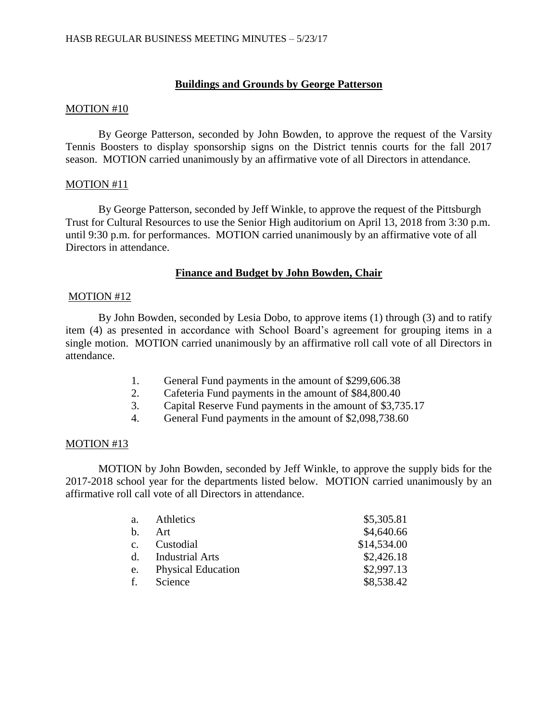# **Buildings and Grounds by George Patterson**

# MOTION #10

By George Patterson, seconded by John Bowden, to approve the request of the Varsity Tennis Boosters to display sponsorship signs on the District tennis courts for the fall 2017 season. MOTION carried unanimously by an affirmative vote of all Directors in attendance.

# MOTION #11

By George Patterson, seconded by Jeff Winkle, to approve the request of the Pittsburgh Trust for Cultural Resources to use the Senior High auditorium on April 13, 2018 from 3:30 p.m. until 9:30 p.m. for performances. MOTION carried unanimously by an affirmative vote of all Directors in attendance.

# **Finance and Budget by John Bowden, Chair**

# MOTION #12

By John Bowden, seconded by Lesia Dobo, to approve items (1) through (3) and to ratify item (4) as presented in accordance with School Board's agreement for grouping items in a single motion. MOTION carried unanimously by an affirmative roll call vote of all Directors in attendance.

- 1. General Fund payments in the amount of \$299,606.38
- 2. Cafeteria Fund payments in the amount of \$84,800.40
- 3. Capital Reserve Fund payments in the amount of \$3,735.17
- 4. General Fund payments in the amount of \$2,098,738.60

# MOTION #13

MOTION by John Bowden, seconded by Jeff Winkle, to approve the supply bids for the 2017-2018 school year for the departments listed below. MOTION carried unanimously by an affirmative roll call vote of all Directors in attendance.

| a.             | Athletics                 | \$5,305.81  |
|----------------|---------------------------|-------------|
| $\mathbf{b}$ . | Art                       | \$4,640.66  |
| $c_{\cdot}$    | Custodial                 | \$14,534.00 |
|                | d. Industrial Arts        | \$2,426.18  |
| e.             | <b>Physical Education</b> | \$2,997.13  |
| f.             | Science                   | \$8,538.42  |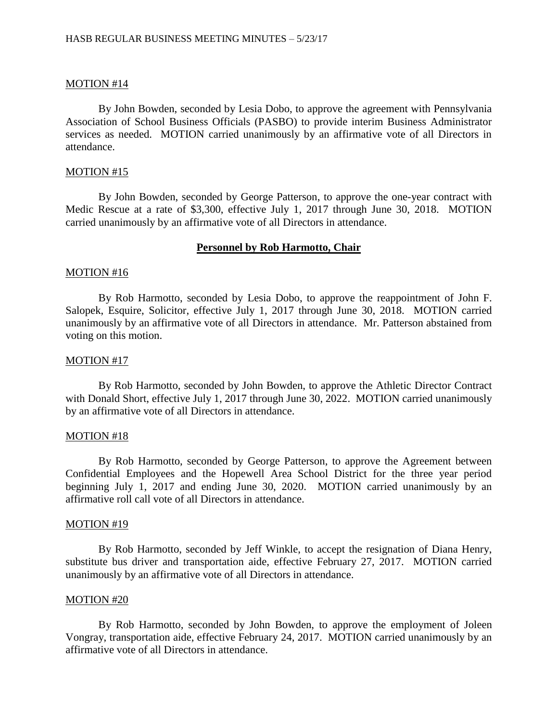## MOTION #14

By John Bowden, seconded by Lesia Dobo, to approve the agreement with Pennsylvania Association of School Business Officials (PASBO) to provide interim Business Administrator services as needed. MOTION carried unanimously by an affirmative vote of all Directors in attendance.

#### MOTION #15

By John Bowden, seconded by George Patterson, to approve the one-year contract with Medic Rescue at a rate of \$3,300, effective July 1, 2017 through June 30, 2018. MOTION carried unanimously by an affirmative vote of all Directors in attendance.

# **Personnel by Rob Harmotto, Chair**

### MOTION #16

By Rob Harmotto, seconded by Lesia Dobo, to approve the reappointment of John F. Salopek, Esquire, Solicitor, effective July 1, 2017 through June 30, 2018. MOTION carried unanimously by an affirmative vote of all Directors in attendance. Mr. Patterson abstained from voting on this motion.

### MOTION #17

By Rob Harmotto, seconded by John Bowden, to approve the Athletic Director Contract with Donald Short, effective July 1, 2017 through June 30, 2022. MOTION carried unanimously by an affirmative vote of all Directors in attendance.

#### MOTION #18

By Rob Harmotto, seconded by George Patterson, to approve the Agreement between Confidential Employees and the Hopewell Area School District for the three year period beginning July 1, 2017 and ending June 30, 2020. MOTION carried unanimously by an affirmative roll call vote of all Directors in attendance.

### MOTION #19

By Rob Harmotto, seconded by Jeff Winkle, to accept the resignation of Diana Henry, substitute bus driver and transportation aide, effective February 27, 2017. MOTION carried unanimously by an affirmative vote of all Directors in attendance.

#### MOTION #20

By Rob Harmotto, seconded by John Bowden, to approve the employment of Joleen Vongray, transportation aide, effective February 24, 2017. MOTION carried unanimously by an affirmative vote of all Directors in attendance.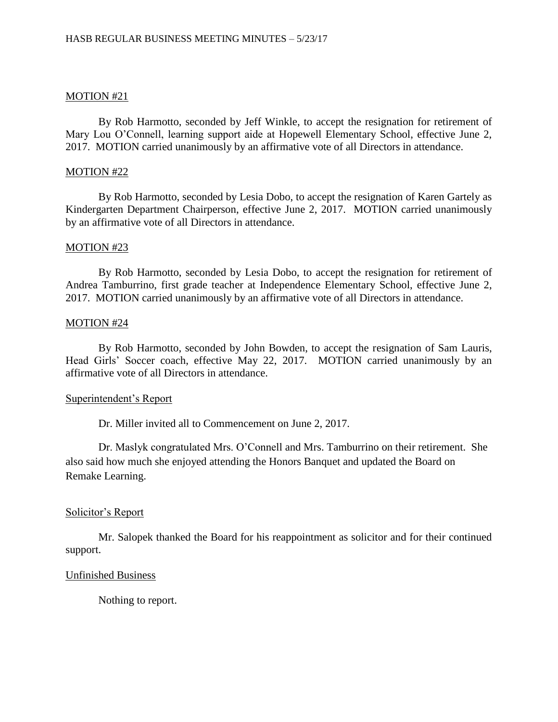## MOTION #21

By Rob Harmotto, seconded by Jeff Winkle, to accept the resignation for retirement of Mary Lou O'Connell, learning support aide at Hopewell Elementary School, effective June 2, 2017. MOTION carried unanimously by an affirmative vote of all Directors in attendance.

### MOTION #22

By Rob Harmotto, seconded by Lesia Dobo, to accept the resignation of Karen Gartely as Kindergarten Department Chairperson, effective June 2, 2017. MOTION carried unanimously by an affirmative vote of all Directors in attendance.

# MOTION #23

By Rob Harmotto, seconded by Lesia Dobo, to accept the resignation for retirement of Andrea Tamburrino, first grade teacher at Independence Elementary School, effective June 2, 2017. MOTION carried unanimously by an affirmative vote of all Directors in attendance.

### MOTION #24

By Rob Harmotto, seconded by John Bowden, to accept the resignation of Sam Lauris, Head Girls' Soccer coach, effective May 22, 2017. MOTION carried unanimously by an affirmative vote of all Directors in attendance.

#### Superintendent's Report

Dr. Miller invited all to Commencement on June 2, 2017.

Dr. Maslyk congratulated Mrs. O'Connell and Mrs. Tamburrino on their retirement. She also said how much she enjoyed attending the Honors Banquet and updated the Board on Remake Learning.

## Solicitor's Report

Mr. Salopek thanked the Board for his reappointment as solicitor and for their continued support.

## Unfinished Business

Nothing to report.